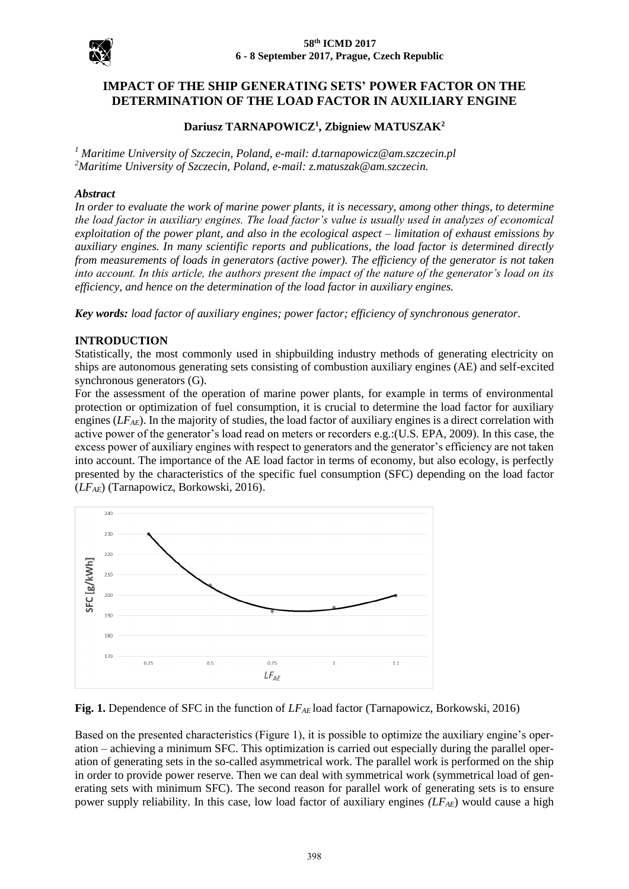

# **IMPACT OF THE SHIP GENERATING SETS' POWER FACTOR ON THE DETERMINATION OF THE LOAD FACTOR IN AUXILIARY ENGINE**

# **Dariusz TARNAPOWICZ<sup>1</sup> , Zbigniew MATUSZAK<sup>2</sup>**

*<sup>1</sup> Maritime University of Szczecin, Poland, e-mail: [d.tarnapowicz@am.szczecin.pl](mailto:d.tarnapowicz@am.szczecin.pl) <sup>2</sup>Maritime University of Szczecin, Poland, e-mail: [z.matuszak@am.szczecin.](mailto:z.matuszak@am.szczecin)*

#### *Abstract*

*In order to evaluate the work of marine power plants, it is necessary, among other things, to determine the load factor in auxiliary engines. The load factor's value is usually used in analyzes of economical exploitation of the power plant, and also in the ecological aspect – limitation of exhaust emissions by auxiliary engines. In many scientific reports and publications, the load factor is determined directly from measurements of loads in generators (active power). The efficiency of the generator is not taken into account. In this article, the authors present the impact of the nature of the generator's load on its efficiency, and hence on the determination of the load factor in auxiliary engines.*

*Key words: load factor of auxiliary engines; power factor; efficiency of synchronous generator.*

### **INTRODUCTION**

Statistically, the most commonly used in shipbuilding industry methods of generating electricity on ships are autonomous generating sets consisting of combustion auxiliary engines (AE) and self-excited synchronous generators (G).

For the assessment of the operation of marine power plants, for example in terms of environmental protection or optimization of fuel consumption, it is crucial to determine the load factor for auxiliary engines  $(LF_{AE})$ . In the majority of studies, the load factor of auxiliary engines is a direct correlation with active power of the generator's load read on meters or recorders e.g.:(U.S. EPA, 2009). In this case, the excess power of auxiliary engines with respect to generators and the generator's efficiency are not taken into account. The importance of the AE load factor in terms of economy, but also ecology, is perfectly presented by the characteristics of the specific fuel consumption (SFC) depending on the load factor (*LFAE*) (Tarnapowicz, Borkowski, 2016).



**Fig. 1.** Dependence of SFC in the function of *LFAE* load factor (Tarnapowicz, Borkowski, 2016)

Based on the presented characteristics (Figure 1), it is possible to optimize the auxiliary engine's operation – achieving a minimum SFC. This optimization is carried out especially during the parallel operation of generating sets in the so-called asymmetrical work. The parallel work is performed on the ship in order to provide power reserve. Then we can deal with symmetrical work (symmetrical load of generating sets with minimum SFC). The second reason for parallel work of generating sets is to ensure power supply reliability. In this case, low load factor of auxiliary engines *(LFAE*) would cause a high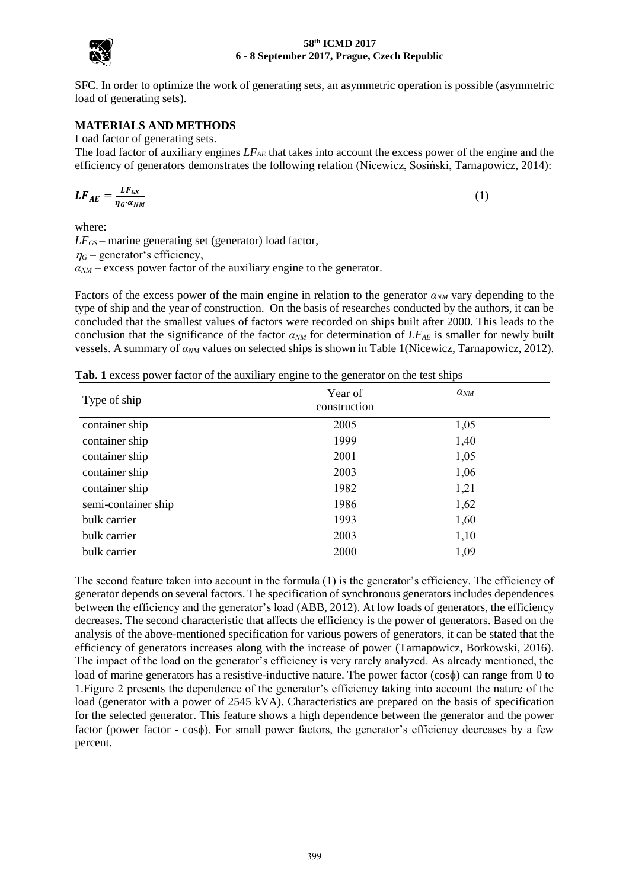

#### **58th ICMD 2017 6 - 8 September 2017, Prague, Czech Republic**

SFC. In order to optimize the work of generating sets, an asymmetric operation is possible (asymmetric load of generating sets).

# **MATERIALS AND METHODS**

Load factor of generating sets.

The load factor of auxiliary engines  $LF_{AE}$  that takes into account the excess power of the engine and the efficiency of generators demonstrates the following relation (Nicewicz, Sosiński, Tarnapowicz, 2014):

$$
LF_{AE} = \frac{LF_{GS}}{\eta_G \cdot \alpha_{NM}} \tag{1}
$$

where:

*LFGS* – marine generating set (generator) load factor,  $\eta$ <sup>G</sup> – generator's efficiency, *αNM* – excess power factor of the auxiliary engine to the generator.

Factors of the excess power of the main engine in relation to the generator  $a_{NM}$  vary depending to the type of ship and the year of construction. On the basis of researches conducted by the authors, it can be concluded that the smallest values of factors were recorded on ships built after 2000. This leads to the conclusion that the significance of the factor *αNM* for determination of *LFAE* is smaller for newly built vessels. A summary of *αNM* values on selected ships is shown in Table 1(Nicewicz, Tarnapowicz, 2012).

| Tab. 1 excess power factor of the auxiliary engine to the generator on the test ships |  |
|---------------------------------------------------------------------------------------|--|
|---------------------------------------------------------------------------------------|--|

| Type of ship        | Year of<br>construction | $\alpha_{NM}$ |  |
|---------------------|-------------------------|---------------|--|
| container ship      | 2005                    | 1,05          |  |
| container ship      | 1999                    | 1,40          |  |
| container ship      | 2001                    | 1,05          |  |
| container ship      | 2003                    | 1,06          |  |
| container ship      | 1982                    | 1,21          |  |
| semi-container ship | 1986                    | 1,62          |  |
| bulk carrier        | 1993                    | 1,60          |  |
| bulk carrier        | 2003                    | 1,10          |  |
| bulk carrier        | 2000                    | 1,09          |  |

The second feature taken into account in the formula (1) is the generator's efficiency. The efficiency of generator depends on several factors. The specification of synchronous generators includes dependences between the efficiency and the generator's load (ABB, 2012). At low loads of generators, the efficiency decreases. The second characteristic that affects the efficiency is the power of generators. Based on the analysis of the above-mentioned specification for various powers of generators, it can be stated that the efficiency of generators increases along with the increase of power (Tarnapowicz, Borkowski, 2016). The impact of the load on the generator's efficiency is very rarely analyzed. As already mentioned, the load of marine generators has a resistive-inductive nature. The power factor (cos) can range from 0 to 1.Figure 2 presents the dependence of the generator's efficiency taking into account the nature of the load (generator with a power of 2545 kVA). Characteristics are prepared on the basis of specification for the selected generator. This feature shows a high dependence between the generator and the power factor (power factor - coso). For small power factors, the generator's efficiency decreases by a few percent.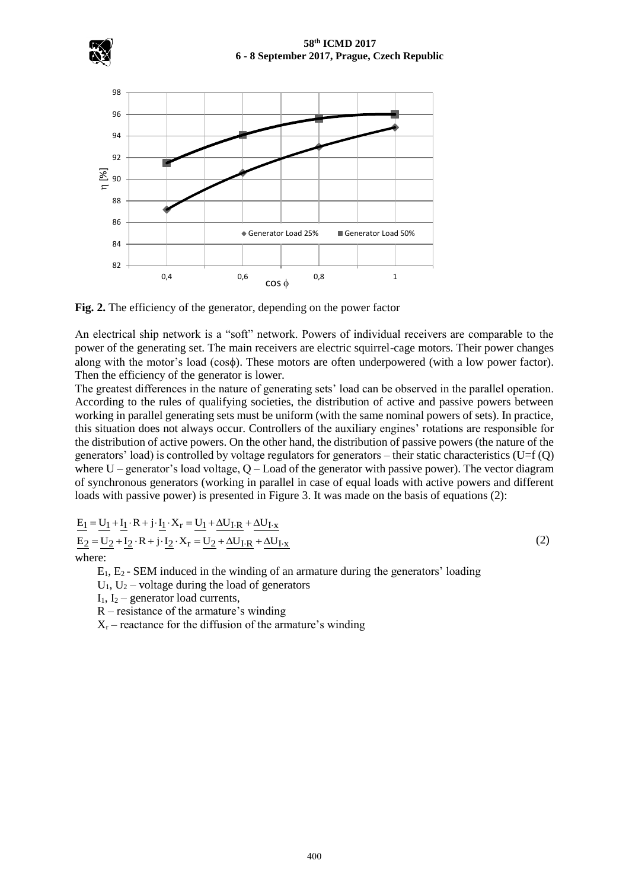





**Fig. 2.** The efficiency of the generator, depending on the power factor

An electrical ship network is a "soft" network. Powers of individual receivers are comparable to the power of the generating set. The main receivers are electric squirrel-cage motors. Their power changes along with the motor's load (cos). These motors are often underpowered (with a low power factor). Then the efficiency of the generator is lower.

The greatest differences in the nature of generating sets' load can be observed in the parallel operation. According to the rules of qualifying societies, the distribution of active and passive powers between working in parallel generating sets must be uniform (with the same nominal powers of sets). In practice, this situation does not always occur. Controllers of the auxiliary engines' rotations are responsible for the distribution of active powers. On the other hand, the distribution of passive powers (the nature of the generators' load) is controlled by voltage regulators for generators – their static characteristics (U=f  $(Q)$ ) where  $U$  – generator's load voltage,  $Q$  – Load of the generator with passive power). The vector diagram of synchronous generators (working in parallel in case of equal loads with active powers and different loads with passive power) is presented in Figure 3. It was made on the basis of equations (2):

$$
\underline{E_1} = \underline{U_1} + \underline{I_1} \cdot R + j \cdot \underline{I_1} \cdot X_r = \underline{U_1} + \underline{\Delta U_{I \cdot R}} + \underline{\Delta U_{I \cdot x}}
$$
\n
$$
\underline{E_2} = \underline{U_2} + \underline{I_2} \cdot R + j \cdot \underline{I_2} \cdot X_r = \underline{U_2} + \underline{\Delta U_{I \cdot R}} + \underline{\Delta U_{I \cdot x}}
$$
\n(2)

where:

 $E_1$ ,  $E_2$  - SEM induced in the winding of an armature during the generators' loading

 $U_1$ ,  $U_2$  – voltage during the load of generators

 $I_1$ ,  $I_2$  – generator load currents,

R – resistance of the armature's winding

 $X_r$  – reactance for the diffusion of the armature's winding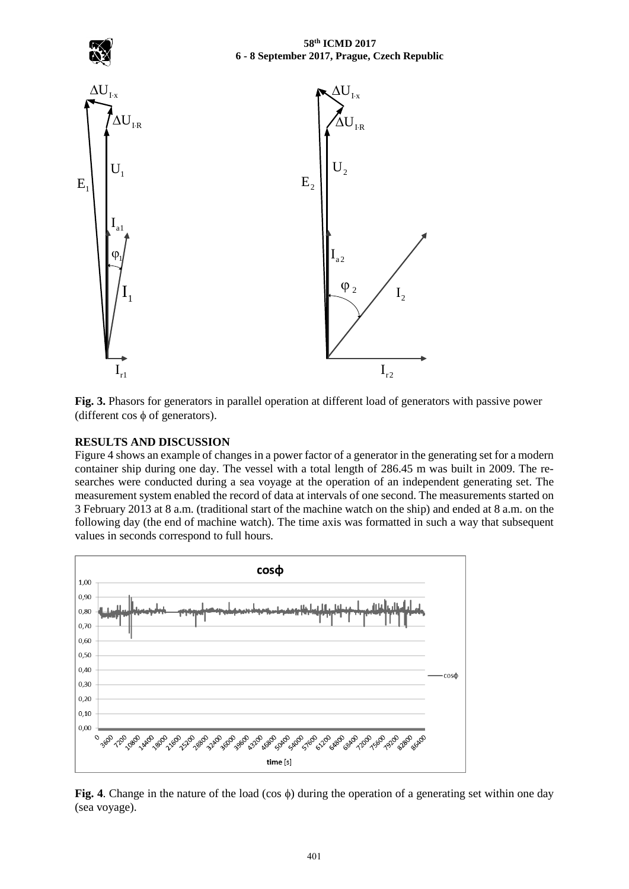#### **58th ICMD 2017 6 - 8 September 2017, Prague, Czech Republic**



**Fig. 3.** Phasors for generators in parallel operation at different load of generators with passive power (different cos  $\phi$  of generators).

#### **RESULTS AND DISCUSSION**

Figure 4 shows an example of changes in a power factor of a generator in the generating set for a modern container ship during one day. The vessel with a total length of 286.45 m was built in 2009. The researches were conducted during a sea voyage at the operation of an independent generating set. The measurement system enabled the record of data at intervals of one second. The measurements started on 3 February 2013 at 8 a.m. (traditional start of the machine watch on the ship) and ended at 8 a.m. on the following day (the end of machine watch). The time axis was formatted in such a way that subsequent values in seconds correspond to full hours.



**Fig.** 4. Change in the nature of the load (cos  $\phi$ ) during the operation of a generating set within one day (sea voyage).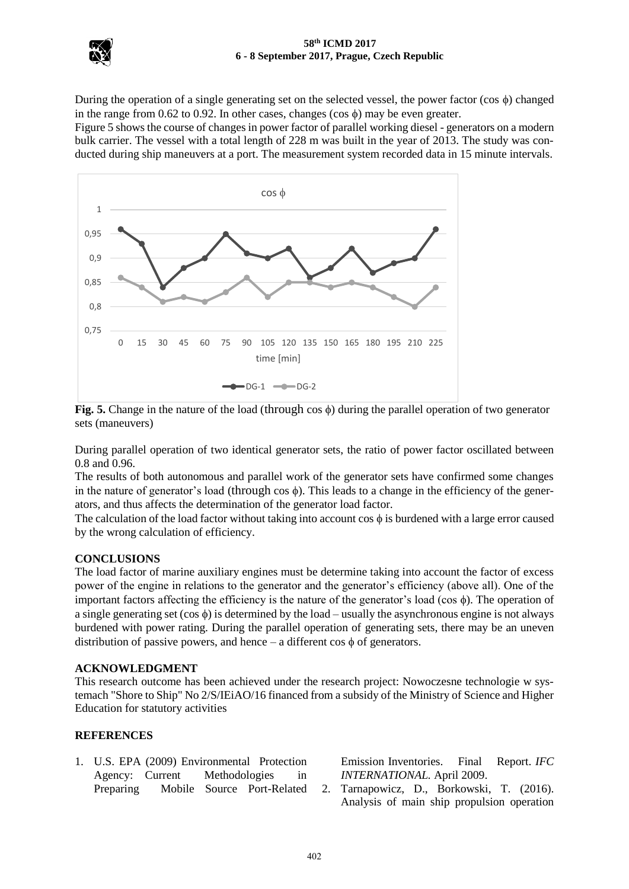#### **58th ICMD 2017 6 - 8 September 2017, Prague, Czech Republic**



During the operation of a single generating set on the selected vessel, the power factor (cos  $\phi$ ) changed in the range from 0.62 to 0.92. In other cases, changes (cos  $\phi$ ) may be even greater.

Figure 5 shows the course of changes in power factor of parallel working diesel - generators on a modern bulk carrier. The vessel with a total length of 228 m was built in the year of 2013. The study was conducted during ship maneuvers at a port. The measurement system recorded data in 15 minute intervals.



**Fig. 5.** Change in the nature of the load (through cos  $\phi$ ) during the parallel operation of two generator sets (maneuvers)

During parallel operation of two identical generator sets, the ratio of power factor oscillated between 0.8 and 0.96.

The results of both autonomous and parallel work of the generator sets have confirmed some changes in the nature of generator's load (through cos  $\phi$ ). This leads to a change in the efficiency of the generators, and thus affects the determination of the generator load factor.

The calculation of the load factor without taking into account  $\cos \phi$  is burdened with a large error caused by the wrong calculation of efficiency.

## **CONCLUSIONS**

The load factor of marine auxiliary engines must be determine taking into account the factor of excess power of the engine in relations to the generator and the generator's efficiency (above all). One of the important factors affecting the efficiency is the nature of the generator's load (cos  $\phi$ ). The operation of a single generating set  $(\cos \phi)$  is determined by the load – usually the asynchronous engine is not always burdened with power rating. During the parallel operation of generating sets, there may be an uneven distribution of passive powers, and hence  $-$  a different cos  $\phi$  of generators.

## **ACKNOWLEDGMENT**

This research outcome has been achieved under the research project: Nowoczesne technologie w systemach "Shore to Ship" No 2/S/IEiAO/16 financed from a subsidy of the Ministry of Science and Higher Education for statutory activities

# **REFERENCES**

1. U.S. EPA (2009) Environmental Protection Agency: Current Methodologies in Preparing Mobile Source Port-Related

Emission Inventories. Final Report. *IFC INTERNATIONAL.* April 2009.

2. Tarnapowicz, D., Borkowski, T. (2016). Analysis of main ship propulsion operation